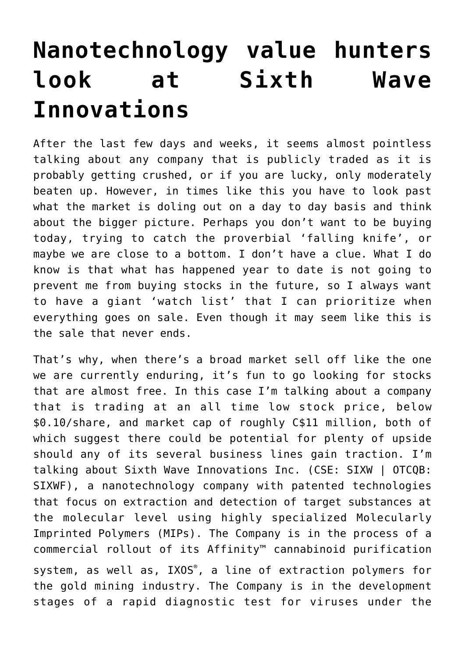## **[Nanotechnology value hunters](https://investorintel.com/markets/biotech-healthcare/biotech-intel/nanotechnology-value-hunters-look-at-sixth-wave-innovations/) [look at Sixth Wave](https://investorintel.com/markets/biotech-healthcare/biotech-intel/nanotechnology-value-hunters-look-at-sixth-wave-innovations/) [Innovations](https://investorintel.com/markets/biotech-healthcare/biotech-intel/nanotechnology-value-hunters-look-at-sixth-wave-innovations/)**

After the last few days and weeks, it seems almost pointless talking about any company that is publicly traded as it is probably getting crushed, or if you are lucky, only moderately beaten up. However, in times like this you have to look past what the market is doling out on a day to day basis and think about the bigger picture. Perhaps you don't want to be buying today, trying to catch the proverbial 'falling knife', or maybe we are close to a bottom. I don't have a clue. What I do know is that what has happened year to date is not going to prevent me from buying stocks in the future, so I always want to have a giant 'watch list' that I can prioritize when everything goes on sale. Even though it may seem like this is the sale that never ends.

That's why, when there's a broad market sell off like the one we are currently enduring, it's fun to go looking for stocks that are almost free. In this case I'm talking about a company that is trading at an all time low stock price, below \$0.10/share, and market cap of roughly C\$11 million, both of which suggest there could be potential for plenty of upside should any of its several business lines gain traction. I'm talking about [Sixth Wave Innovations Inc.](https://sixthwave.com/) (CSE: SIXW | OTCQB: SIXWF), a nanotechnology company with patented technologies that focus on extraction and detection of target substances at the molecular level using highly specialized [Molecularly](https://sixthwave.com/mips/) [Imprinted Polymers \(MIPs\).](https://sixthwave.com/mips/) The Company is in the process of a commercial rollout of its [Affinity™ cannabinoid purification](https://affinitynano.com/) [system](https://affinitynano.com/), as well as, [IXOS](https://ixos.ca/)[®](https://ixos.ca/), a line of extraction polymers for the gold mining industry. The Company is in the development stages of a rapid diagnostic test for viruses under the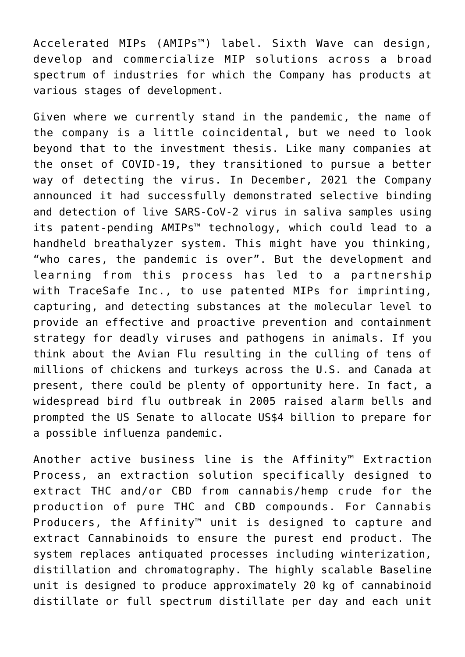Accelerated MIPs ([AMIPs™\)](https://amips.com/) label. Sixth Wave can design, develop and commercialize MIP solutions across a broad spectrum of industries for which the Company has products at various stages of development.

Given where we currently stand in the pandemic, the name of the company is a little coincidental, but we need to look beyond that to the investment thesis. Like many companies at the onset of COVID-19, they transitioned to pursue a better way of detecting the virus. In December, 2021 the Company announced it had successfully demonstrated selective binding and detection of live [SARS-CoV-2 virus in saliva samples](https://investorintel.com/markets/biotech-healthcare/biotech-news/sixth-wave-amipstm-demonstrate-virus-detection-in-saliva-samples/) using its patent-pending AMIPs™ technology, which could lead to a handheld breathalyzer system. This might have you thinking, "who cares, the pandemic is over". But the development and learning from this process has led to [a partnership](https://investorintel.com/markets/biotech-healthcare/biotech-news/sixth-wave-innovations-inc-partners-with-tracesafe-for-breakthrough-agriculture-safety-and-virus-detection-technology/) with [TraceSafe Inc.,](http://tracesafe.io/) to use patented MIPs for imprinting, capturing, and detecting substances at the molecular level to provide an effective and proactive prevention and containment strategy for deadly viruses and pathogens in animals. If you think about the Avian Flu resulting in the culling of tens of millions of chickens and turkeys across the U.S. and Canada at present, there could be plenty of opportunity here. In fact, a widespread bird flu outbreak in 2005 raised alarm bells and prompted the US Senate to [allocate](https://www.cidrap.umn.edu/news-perspective/2005/09/senate-approves-4-billion-prepare-flu-pandemic) US\$4 billion to prepare for a possible influenza pandemic.

Another active business line is the Affinity™ Extraction Process, an extraction solution specifically designed to extract THC and/or CBD from cannabis/hemp crude for the production of pure THC and CBD compounds. For Cannabis Producers, the Affinity™ unit is designed to capture and extract Cannabinoids to ensure the purest end product. The system replaces antiquated processes including winterization, distillation and chromatography. The highly scalable Baseline unit is designed to produce approximately 20 kg of cannabinoid distillate or full spectrum distillate per day and each unit